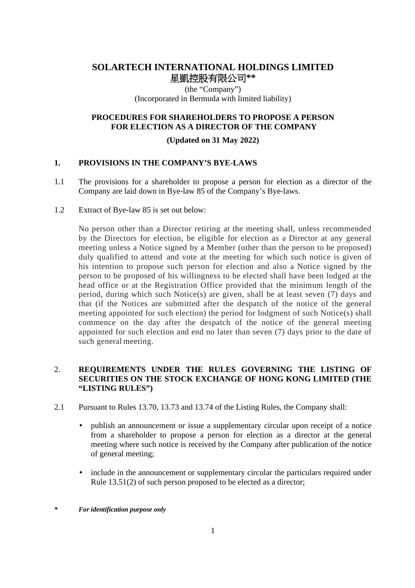# **SOLARTECH INTERNATIONAL HOLDINGS LIMITED 星凱控股有限公司\*\***

(the "Company") (Incorporated in Bermuda with limited liability)

### **PROCEDURES FOR SHAREHOLDERS TO PROPOSE A PERSON FOR ELECTION AS A DIRECTOR OF THE COMPANY**

### **(Updated on 31 May 2022)**

### **1. PROVISIONS IN THE COMPANY'S BYE-LAWS**

- 1.1 The provisions for a shareholder to propose a person for election as a director of the Company are laid down in Bye-law 85 of the Company's Bye-laws.
- 1.2 Extract of Bye-law 85 is set out below:

No person other than a Director retiring at the meeting shall, unless recommended by the Directors for election, be eligible for election as a Director at any general meeting unless a Notice signed by a Member (other than the person to be proposed) duly qualified to attend and vote at the meeting for which such notice is given of his intention to propose such person for election and also a Notice signed by the person to be proposed of his willingness to be elected shall have been lodged at the head office or at the Registration Office provided that the minimum length of the period, during which such Notice(s) are given, shall be at least seven (7) days and that (if the Notices are submitted after the despatch of the notice of the general meeting appointed for such election) the period for lodgment of such Notice(s) shall commence on the day after the despatch of the notice of the general meeting appointed for such election and end no later than seven (7) days prior to the date of such general meeting.

## 2. **REQUIREMENTS UNDER THE RULES GOVERNING THE LISTING OF SECURITIES ON THE STOCK EXCHANGE OF HONG KONG LIMITED (THE "LISTING RULES")**

- 2.1 Pursuant to Rules 13.70, 13.73 and 13.74 of the Listing Rules, the Company shall:
	- publish an announcement or issue a supplementary circular upon receipt of a notice from a shareholder to propose a person for election as a director at the general meeting where such notice is received by the Company after publication of the notice of general meeting;
	- include in the announcement or supplementary circular the particulars required under Rule 13.51(2) of such person proposed to be elected as a director;
- *\* For identification purpose only*